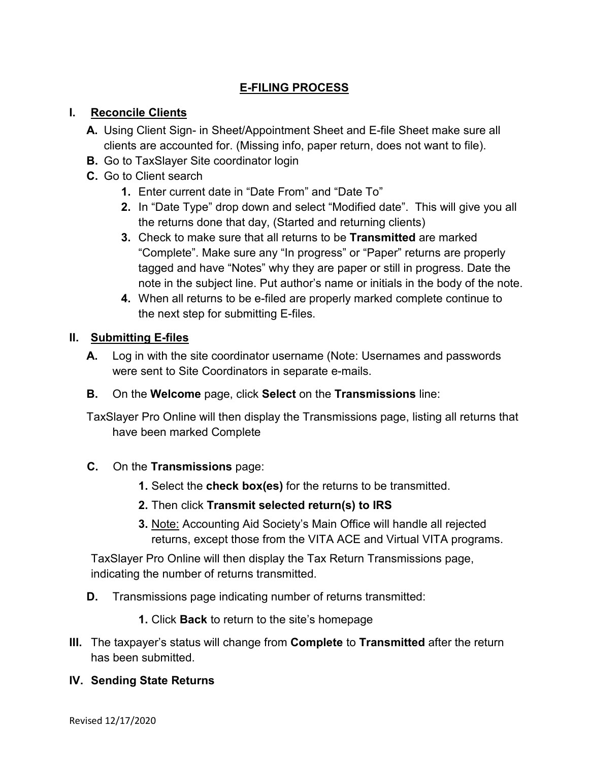## **E-FILING PROCESS**

## **I. Reconcile Clients**

- **A.** Using Client Sign- in Sheet/Appointment Sheet and E-file Sheet make sure all clients are accounted for. (Missing info, paper return, does not want to file).
- **B.** Go to TaxSlayer Site coordinator login
- **C.** Go to Client search
	- **1.** Enter current date in "Date From" and "Date To"
	- **2.** In "Date Type" drop down and select "Modified date". This will give you all the returns done that day, (Started and returning clients)
	- **3.** Check to make sure that all returns to be **Transmitted** are marked "Complete". Make sure any "In progress" or "Paper" returns are properly tagged and have "Notes" why they are paper or still in progress. Date the note in the subject line. Put author's name or initials in the body of the note.
	- **4.** When all returns to be e-filed are properly marked complete continue to the next step for submitting E-files.

## **II. Submitting E-files**

- **A.** Log in with the site coordinator username (Note: Usernames and passwords were sent to Site Coordinators in separate e-mails.
- **B.** On the **Welcome** page, click **Select** on the **Transmissions** line:

TaxSlayer Pro Online will then display the Transmissions page, listing all returns that have been marked Complete

- **C.** On the **Transmissions** page:
	- **1.** Select the **check box(es)** for the returns to be transmitted.
	- **2.** Then click **Transmit selected return(s) to IRS**
	- **3.** Note: Accounting Aid Society's Main Office will handle all rejected returns, except those from the VITA ACE and Virtual VITA programs.

TaxSlayer Pro Online will then display the Tax Return Transmissions page, indicating the number of returns transmitted.

- **D.** Transmissions page indicating number of returns transmitted:
	- **1.** Click **Back** to return to the site's homepage
- **III.** The taxpayer's status will change from **Complete** to **Transmitted** after the return has been submitted.

## **IV. Sending State Returns**